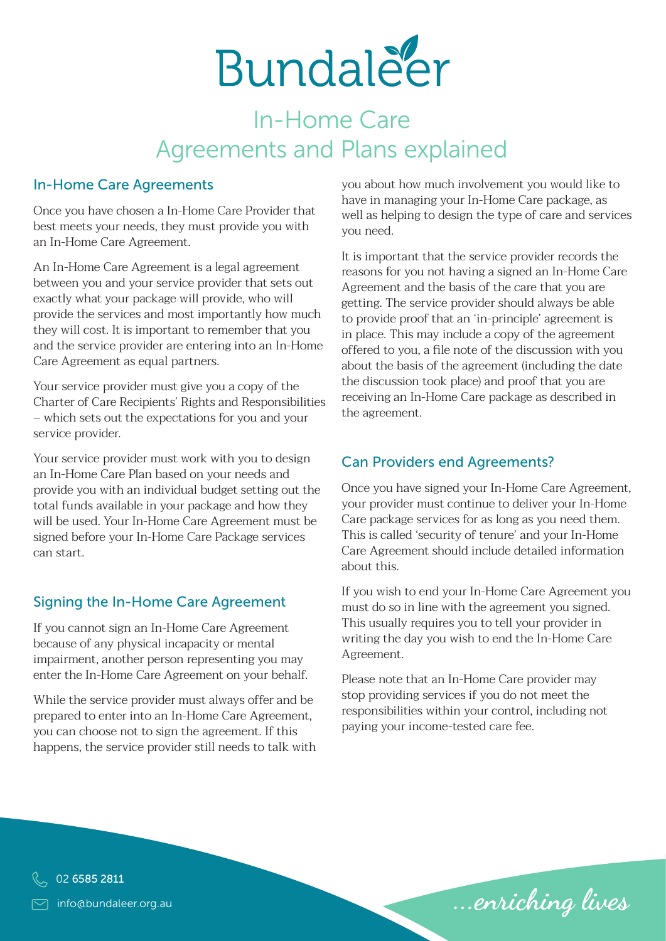

## In-Home Care Agreements and Plans explained

#### In-Home Care Agreements

Once you have chosen a In-Home Care Provider that best meets your needs, they must provide you with an In-Home Care Agreement.

An In-Home Care Agreement is a legal agreement between you and your service provider that sets out exactly what your package will provide, who will provide the services and most importantly how much they will cost. It is important to remember that you and the service provider are entering into an In-Home Care Agreement as equal partners.

Your service provider must give you a copy of the Charter of Care Recipients' Rights and Responsibilities – which sets out the expectations for you and your service provider.

Your service provider must work with you to design an In-Home Care Plan based on your needs and provide you with an individual budget setting out the total funds available in your package and how they will be used. Your In-Home Care Agreement must be signed before your In-Home Care Package services can start.

#### Signing the In-Home Care Agreement

If you cannot sign an In-Home Care Agreement because of any physical incapacity or mental impairment, another person representing you may enter the In-Home Care Agreement on your behalf.

While the service provider must always offer and be prepared to enter into an In-Home Care Agreement, you can choose not to sign the agreement. If this happens, the service provider still needs to talk with you about how much involvement you would like to have in managing your In-Home Care package, as well as helping to design the type of care and services you need.

It is important that the service provider records the reasons for you not having a signed an In-Home Care Agreement and the basis of the care that you are getting. The service provider should always be able to provide proof that an 'in-principle' agreement is in place. This may include a copy of the agreement offered to you, a file note of the discussion with you about the basis of the agreement (including the date the discussion took place) and proof that you are receiving an In-Home Care package as described in the agreement.

#### Can Providers end Agreements?

Once you have signed your In-Home Care Agreement, your provider must continue to deliver your In-Home Care package services for as long as you need them. This is called 'security of tenure' and your In-Home Care Agreement should include detailed information about this.

If you wish to end your In-Home Care Agreement you must do so in line with the agreement you signed. This usually requires you to tell your provider in writing the day you wish to end the In-Home Care Agreement.

Please note that an In-Home Care provider may stop providing services if you do not meet the responsibilities within your control, including not paying your income-tested care fee.

...enriching lives

info@bundaleer.org.au 02 6585 2811